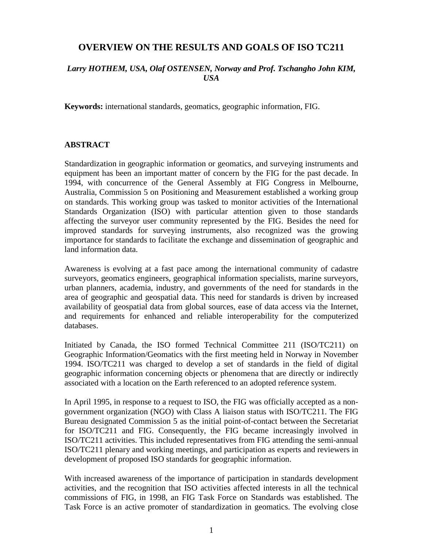# **OVERVIEW ON THE RESULTS AND GOALS OF ISO TC211**

## *Larry HOTHEM, USA, Olaf OSTENSEN, Norway and Prof. Tschangho John KIM, USA*

**Keywords:** international standards, geomatics, geographic information, FIG.

### **ABSTRACT**

Standardization in geographic information or geomatics, and surveying instruments and equipment has been an important matter of concern by the FIG for the past decade. In 1994, with concurrence of the General Assembly at FIG Congress in Melbourne, Australia, Commission 5 on Positioning and Measurement established a working group on standards. This working group was tasked to monitor activities of the International Standards Organization (ISO) with particular attention given to those standards affecting the surveyor user community represented by the FIG. Besides the need for improved standards for surveying instruments, also recognized was the growing importance for standards to facilitate the exchange and dissemination of geographic and land information data.

Awareness is evolving at a fast pace among the international community of cadastre surveyors, geomatics engineers, geographical information specialists, marine surveyors, urban planners, academia, industry, and governments of the need for standards in the area of geographic and geospatial data. This need for standards is driven by increased availability of geospatial data from global sources, ease of data access via the Internet, and requirements for enhanced and reliable interoperability for the computerized databases.

Initiated by Canada, the ISO formed Technical Committee 211 (ISO/TC211) on Geographic Information/Geomatics with the first meeting held in Norway in November 1994. ISO/TC211 was charged to develop a set of standards in the field of digital geographic information concerning objects or phenomena that are directly or indirectly associated with a location on the Earth referenced to an adopted reference system.

In April 1995, in response to a request to ISO, the FIG was officially accepted as a nongovernment organization (NGO) with Class A liaison status with ISO/TC211. The FIG Bureau designated Commission 5 as the initial point-of-contact between the Secretariat for ISO/TC211 and FIG. Consequently, the FIG became increasingly involved in ISO/TC211 activities. This included representatives from FIG attending the semi-annual ISO/TC211 plenary and working meetings, and participation as experts and reviewers in development of proposed ISO standards for geographic information.

With increased awareness of the importance of participation in standards development activities, and the recognition that ISO activities affected interests in all the technical commissions of FIG, in 1998, an FIG Task Force on Standards was established. The Task Force is an active promoter of standardization in geomatics. The evolving close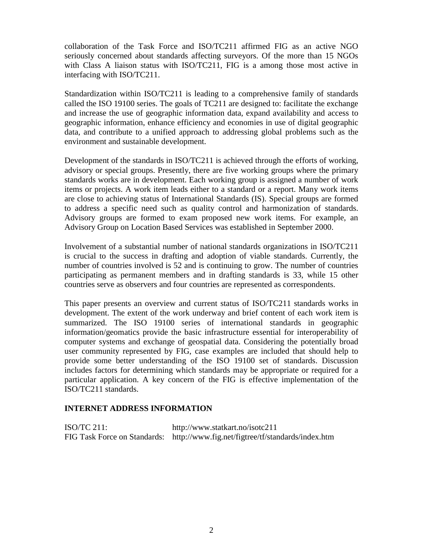collaboration of the Task Force and ISO/TC211 affirmed FIG as an active NGO seriously concerned about standards affecting surveyors. Of the more than 15 NGOs with Class A liaison status with ISO/TC211, FIG is a among those most active in interfacing with ISO/TC211.

Standardization within ISO/TC211 is leading to a comprehensive family of standards called the ISO 19100 series. The goals of TC211 are designed to: facilitate the exchange and increase the use of geographic information data, expand availability and access to geographic information, enhance efficiency and economies in use of digital geographic data, and contribute to a unified approach to addressing global problems such as the environment and sustainable development.

Development of the standards in ISO/TC211 is achieved through the efforts of working, advisory or special groups. Presently, there are five working groups where the primary standards works are in development. Each working group is assigned a number of work items or projects. A work item leads either to a standard or a report. Many work items are close to achieving status of International Standards (IS). Special groups are formed to address a specific need such as quality control and harmonization of standards. Advisory groups are formed to exam proposed new work items. For example, an Advisory Group on Location Based Services was established in September 2000.

Involvement of a substantial number of national standards organizations in ISO/TC211 is crucial to the success in drafting and adoption of viable standards. Currently, the number of countries involved is 52 and is continuing to grow. The number of countries participating as permanent members and in drafting standards is 33, while 15 other countries serve as observers and four countries are represented as correspondents.

This paper presents an overview and current status of ISO/TC211 standards works in development. The extent of the work underway and brief content of each work item is summarized. The ISO 19100 series of international standards in geographic information/geomatics provide the basic infrastructure essential for interoperability of computer systems and exchange of geospatial data. Considering the potentially broad user community represented by FIG, case examples are included that should help to provide some better understanding of the ISO 19100 set of standards. Discussion includes factors for determining which standards may be appropriate or required for a particular application. A key concern of the FIG is effective implementation of the ISO/TC211 standards.

### **INTERNET ADDRESS INFORMATION**

ISO/TC 211: http://www.statkart.no/isotc211 FIG Task Force on Standards: http://www.fig.net/figtree/tf/standards/index.htm